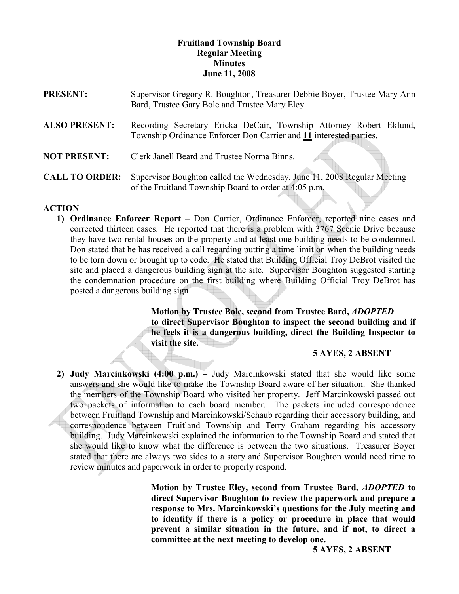### Fruitland Township Board Regular Meeting **Minutes** June 11, 2008

| <b>PRESENT:</b>       | Supervisor Gregory R. Boughton, Treasurer Debbie Boyer, Trustee Mary Ann<br>Bard, Trustee Gary Bole and Trustee Mary Eley.                |
|-----------------------|-------------------------------------------------------------------------------------------------------------------------------------------|
| <b>ALSO PRESENT:</b>  | Recording Secretary Ericka DeCair, Township Attorney Robert Eklund,<br>Township Ordinance Enforcer Don Carrier and 11 interested parties. |
| <b>NOT PRESENT:</b>   | Clerk Janell Beard and Trustee Norma Binns.                                                                                               |
| <b>CALL TO ORDER:</b> | Supervisor Boughton called the Wednesday, June 11, 2008 Regular Meeting<br>of the Fruitland Township Board to order at 4:05 p.m.          |

## ACTION

1) Ordinance Enforcer Report – Don Carrier, Ordinance Enforcer, reported nine cases and corrected thirteen cases. He reported that there is a problem with 3767 Scenic Drive because they have two rental houses on the property and at least one building needs to be condemned. Don stated that he has received a call regarding putting a time limit on when the building needs to be torn down or brought up to code. He stated that Building Official Troy DeBrot visited the site and placed a dangerous building sign at the site. Supervisor Boughton suggested starting the condemnation procedure on the first building where Building Official Troy DeBrot has posted a dangerous building sign

> Motion by Trustee Bole, second from Trustee Bard, ADOPTED to direct Supervisor Boughton to inspect the second building and if he feels it is a dangerous building, direct the Building Inspector to visit the site.

#### 5 AYES, 2 ABSENT

2) Judy Marcinkowski (4:00 p.m.) – Judy Marcinkowski stated that she would like some answers and she would like to make the Township Board aware of her situation. She thanked the members of the Township Board who visited her property. Jeff Marcinkowski passed out two packets of information to each board member. The packets included correspondence between Fruitland Township and Marcinkowski/Schaub regarding their accessory building, and correspondence between Fruitland Township and Terry Graham regarding his accessory building. Judy Marcinkowski explained the information to the Township Board and stated that she would like to know what the difference is between the two situations. Treasurer Boyer stated that there are always two sides to a story and Supervisor Boughton would need time to review minutes and paperwork in order to properly respond.

> Motion by Trustee Eley, second from Trustee Bard, ADOPTED to direct Supervisor Boughton to review the paperwork and prepare a response to Mrs. Marcinkowski's questions for the July meeting and to identify if there is a policy or procedure in place that would prevent a similar situation in the future, and if not, to direct a committee at the next meeting to develop one.

> > 5 AYES, 2 ABSENT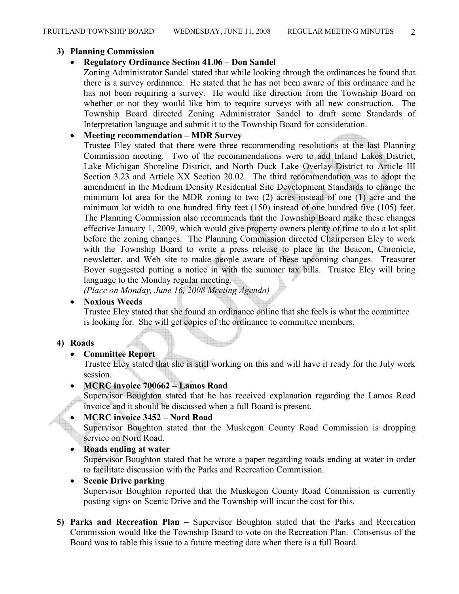#### 3) Planning Commission

### • Regulatory Ordinance Section 41.06 – Don Sandel

Zoning Administrator Sandel stated that while looking through the ordinances he found that there is a survey ordinance. He stated that he has not been aware of this ordinance and he has not been requiring a survey. He would like direction from the Township Board on whether or not they would like him to require surveys with all new construction. The Township Board directed Zoning Administrator Sandel to draft some Standards of Interpretation language and submit it to the Township Board for consideration.

### • Meeting recommendation – MDR Survey

Trustee Eley stated that there were three recommending resolutions at the last Planning Commission meeting. Two of the recommendations were to add Inland Lakes District, Lake Michigan Shoreline District, and North Duck Lake Overlay District to Article III Section 3.23 and Article XX Section 20.02. The third recommendation was to adopt the amendment in the Medium Density Residential Site Development Standards to change the minimum lot area for the MDR zoning to two (2) acres instead of one (1) acre and the minimum lot width to one hundred fifty feet (150) instead of one hundred five (105) feet. The Planning Commission also recommends that the Township Board make these changes effective January 1, 2009, which would give property owners plenty of time to do a lot split before the zoning changes. The Planning Commission directed Chairperson Eley to work with the Township Board to write a press release to place in the Beacon, Chronicle, newsletter, and Web site to make people aware of these upcoming changes. Treasurer Boyer suggested putting a notice in with the summer tax bills. Trustee Eley will bring language to the Monday regular meeting.

(Place on Monday, June 16, 2008 Meeting Agenda)

### • Noxious Weeds

Trustee Eley stated that she found an ordinance online that she feels is what the committee is looking for. She will get copies of the ordinance to committee members.

## 4) Roads

## • Committee Report

Trustee Eley stated that she is still working on this and will have it ready for the July work session.

# • MCRC invoice 700662 – Lamos Road

Supervisor Boughton stated that he has received explanation regarding the Lamos Road invoice and it should be discussed when a full Board is present.

#### • MCRC invoice 3452 – Nord Road

Supervisor Boughton stated that the Muskegon County Road Commission is dropping service on Nord Road.

#### • Roads ending at water

Supervisor Boughton stated that he wrote a paper regarding roads ending at water in order to facilitate discussion with the Parks and Recreation Commission.

# • Scenic Drive parking

Supervisor Boughton reported that the Muskegon County Road Commission is currently posting signs on Scenic Drive and the Township will incur the cost for this.

5) Parks and Recreation Plan – Supervisor Boughton stated that the Parks and Recreation Commission would like the Township Board to vote on the Recreation Plan. Consensus of the Board was to table this issue to a future meeting date when there is a full Board.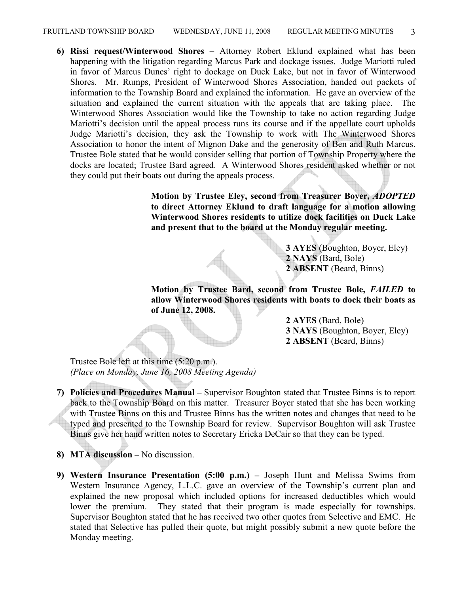6) Rissi request/Winterwood Shores – Attorney Robert Eklund explained what has been happening with the litigation regarding Marcus Park and dockage issues. Judge Mariotti ruled in favor of Marcus Dunes' right to dockage on Duck Lake, but not in favor of Winterwood Shores. Mr. Rumps, President of Winterwood Shores Association, handed out packets of information to the Township Board and explained the information. He gave an overview of the situation and explained the current situation with the appeals that are taking place. The Winterwood Shores Association would like the Township to take no action regarding Judge Mariotti's decision until the appeal process runs its course and if the appellate court upholds Judge Mariotti's decision, they ask the Township to work with The Winterwood Shores Association to honor the intent of Mignon Dake and the generosity of Ben and Ruth Marcus. Trustee Bole stated that he would consider selling that portion of Township Property where the docks are located; Trustee Bard agreed. A Winterwood Shores resident asked whether or not they could put their boats out during the appeals process.

> Motion by Trustee Eley, second from Treasurer Boyer, ADOPTED to direct Attorney Eklund to draft language for a motion allowing Winterwood Shores residents to utilize dock facilities on Duck Lake and present that to the board at the Monday regular meeting.

> > 3 AYES (Boughton, Boyer, Eley) 2 NAYS (Bard, Bole) 2 ABSENT (Beard, Binns)

Motion by Trustee Bard, second from Trustee Bole, FAILED to allow Winterwood Shores residents with boats to dock their boats as of June 12, 2008.

> 2 AYES (Bard, Bole) 3 NAYS (Boughton, Boyer, Eley) 2 ABSENT (Beard, Binns)

Trustee Bole left at this time (5:20 p.m.). (Place on Monday, June 16, 2008 Meeting Agenda)

- 7) Policies and Procedures Manual Supervisor Boughton stated that Trustee Binns is to report back to the Township Board on this matter. Treasurer Boyer stated that she has been working with Trustee Binns on this and Trustee Binns has the written notes and changes that need to be typed and presented to the Township Board for review. Supervisor Boughton will ask Trustee Binns give her hand written notes to Secretary Ericka DeCair so that they can be typed.
- 8) MTA discussion No discussion.
- 9) Western Insurance Presentation (5:00 p.m.) Joseph Hunt and Melissa Swims from Western Insurance Agency, L.L.C. gave an overview of the Township's current plan and explained the new proposal which included options for increased deductibles which would lower the premium. They stated that their program is made especially for townships. Supervisor Boughton stated that he has received two other quotes from Selective and EMC. He stated that Selective has pulled their quote, but might possibly submit a new quote before the Monday meeting.